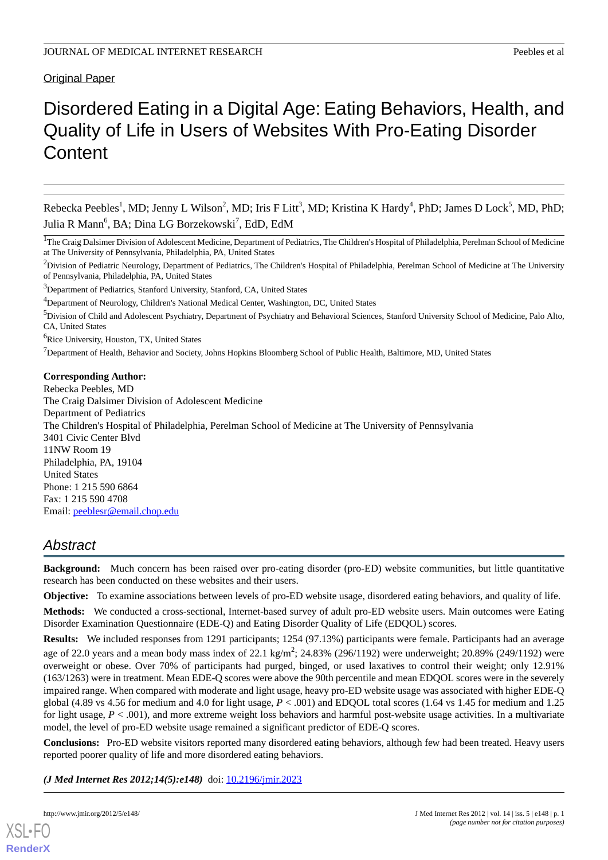# Original Paper

# Disordered Eating in a Digital Age: Eating Behaviors, Health, and Quality of Life in Users of Websites With Pro-Eating Disorder **Content**

Rebecka Peebles<sup>1</sup>, MD; Jenny L Wilson<sup>2</sup>, MD; Iris F Litt<sup>3</sup>, MD; Kristina K Hardy<sup>4</sup>, PhD; James D Lock<sup>5</sup>, MD, PhD; Julia R Mann<sup>6</sup>, BA; Dina LG Borzekowski<sup>7</sup>, EdD, EdM

<sup>6</sup>Rice University, Houston, TX, United States

 $<sup>7</sup>$ Department of Health, Behavior and Society, Johns Hopkins Bloomberg School of Public Health, Baltimore, MD, United States</sup>

#### **Corresponding Author:**

Rebecka Peebles, MD The Craig Dalsimer Division of Adolescent Medicine Department of Pediatrics The Children's Hospital of Philadelphia, Perelman School of Medicine at The University of Pennsylvania 3401 Civic Center Blvd 11NW Room 19 Philadelphia, PA, 19104 United States Phone: 1 215 590 6864 Fax: 1 215 590 4708 Email: [peeblesr@email.chop.edu](mailto:peeblesr@email.chop.edu)

# *Abstract*

**Background:** Much concern has been raised over pro-eating disorder (pro-ED) website communities, but little quantitative research has been conducted on these websites and their users.

**Objective:** To examine associations between levels of pro-ED website usage, disordered eating behaviors, and quality of life.

**Methods:** We conducted a cross-sectional, Internet-based survey of adult pro-ED website users. Main outcomes were Eating Disorder Examination Questionnaire (EDE-Q) and Eating Disorder Quality of Life (EDQOL) scores.

**Results:** We included responses from 1291 participants; 1254 (97.13%) participants were female. Participants had an average age of 22.0 years and a mean body mass index of 22.1 kg/m<sup>2</sup>; 24.83% (296/1192) were underweight; 20.89% (249/1192) were overweight or obese. Over 70% of participants had purged, binged, or used laxatives to control their weight; only 12.91% (163/1263) were in treatment. Mean EDE-Q scores were above the 90th percentile and mean EDQOL scores were in the severely impaired range. When compared with moderate and light usage, heavy pro-ED website usage was associated with higher EDE-Q global (4.89 vs 4.56 for medium and 4.0 for light usage, *P* < .001) and EDQOL total scores (1.64 vs 1.45 for medium and 1.25 for light usage,  $P < .001$ ), and more extreme weight loss behaviors and harmful post-website usage activities. In a multivariate model, the level of pro-ED website usage remained a significant predictor of EDE-Q scores.

**Conclusions:** Pro-ED website visitors reported many disordered eating behaviors, although few had been treated. Heavy users reported poorer quality of life and more disordered eating behaviors.

*(J Med Internet Res 2012;14(5):e148)* doi: [10.2196/jmir.2023](http://dx.doi.org/10.2196/jmir.2023)

<sup>&</sup>lt;sup>1</sup>The Craig Dalsimer Division of Adolescent Medicine, Department of Pediatrics, The Children's Hospital of Philadelphia, Perelman School of Medicine at The University of Pennsylvania, Philadelphia, PA, United States

<sup>&</sup>lt;sup>2</sup>Division of Pediatric Neurology, Department of Pediatrics, The Children's Hospital of Philadelphia, Perelman School of Medicine at The University of Pennsylvania, Philadelphia, PA, United States

<sup>3</sup>Department of Pediatrics, Stanford University, Stanford, CA, United States

<sup>&</sup>lt;sup>4</sup>Department of Neurology, Children's National Medical Center, Washington, DC, United States

<sup>&</sup>lt;sup>5</sup>Division of Child and Adolescent Psychiatry, Department of Psychiatry and Behavioral Sciences, Stanford University School of Medicine, Palo Alto, CA, United States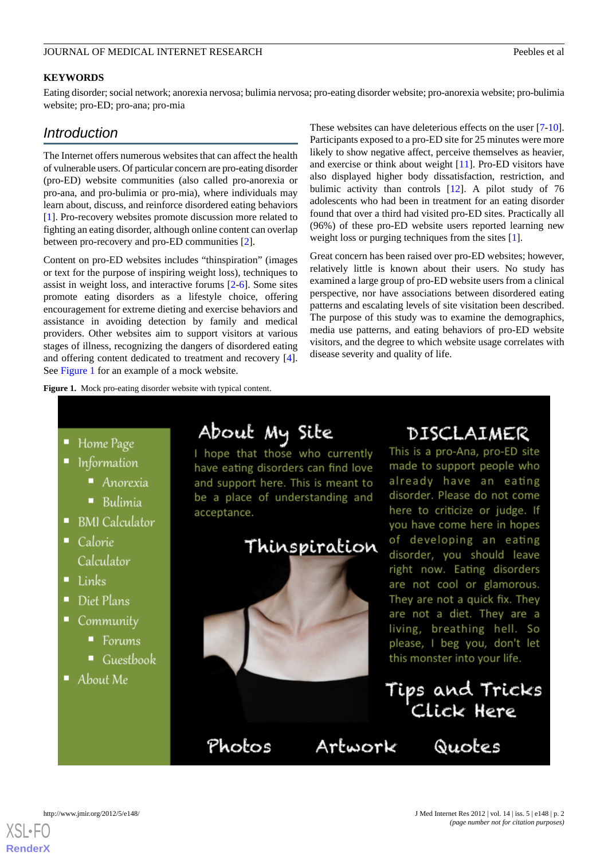#### **KEYWORDS**

Eating disorder; social network; anorexia nervosa; bulimia nervosa; pro-eating disorder website; pro-anorexia website; pro-bulimia website; pro-ED; pro-ana; pro-mia

# *Introduction*

The Internet offers numerous websites that can affect the health of vulnerable users. Of particular concern are pro-eating disorder (pro-ED) website communities (also called pro-anorexia or pro-ana, and pro-bulimia or pro-mia), where individuals may learn about, discuss, and reinforce disordered eating behaviors [[1\]](#page-14-0). Pro-recovery websites promote discussion more related to fighting an eating disorder, although online content can overlap between pro-recovery and pro-ED communities [\[2](#page-14-1)].

Content on pro-ED websites includes "thinspiration" (images or text for the purpose of inspiring weight loss), techniques to assist in weight loss, and interactive forums [[2](#page-14-1)[-6](#page-14-2)]. Some sites promote eating disorders as a lifestyle choice, offering encouragement for extreme dieting and exercise behaviors and assistance in avoiding detection by family and medical providers. Other websites aim to support visitors at various stages of illness, recognizing the dangers of disordered eating and offering content dedicated to treatment and recovery [[4\]](#page-14-3). See [Figure 1](#page-1-0) for an example of a mock website.

<span id="page-1-0"></span>**Figure 1.** Mock pro-eating disorder website with typical content.

These websites can have deleterious effects on the user [[7-](#page-14-4)[10\]](#page-14-5). Participants exposed to a pro-ED site for 25 minutes were more likely to show negative affect, perceive themselves as heavier, and exercise or think about weight [[11\]](#page-14-6). Pro-ED visitors have also displayed higher body dissatisfaction, restriction, and bulimic activity than controls [[12\]](#page-14-7). A pilot study of 76 adolescents who had been in treatment for an eating disorder found that over a third had visited pro-ED sites. Practically all (96%) of these pro-ED website users reported learning new weight loss or purging techniques from the sites [\[1](#page-14-0)].

Great concern has been raised over pro-ED websites; however, relatively little is known about their users. No study has examined a large group of pro-ED website users from a clinical perspective, nor have associations between disordered eating patterns and escalating levels of site visitation been described. The purpose of this study was to examine the demographics, media use patterns, and eating behaviors of pro-ED website visitors, and the degree to which website usage correlates with disease severity and quality of life.

• Home Page

- Information
	- Anorexia
	- $\blacksquare$  Bulimia
- $\blacksquare$  BMI Calculator
- Calorie Calculator
- $\blacksquare$  Links
- Diet Plans
- Community
	- Forums
	- Guestbook
- $\blacksquare$  About Me

# About My Site

I hope that those who currently have eating disorders can find love and support here. This is meant to be a place of understanding and acceptance.



Artwork

Photos

# DISCLAIMER

This is a pro-Ana, pro-ED site made to support people who already have an eating disorder. Please do not come here to criticize or judge. If you have come here in hopes of developing an eating disorder, you should leave right now. Eating disorders are not cool or glamorous. They are not a quick fix. They are not a diet. They are a living, breathing hell. So please, I beg you, don't let this monster into your life.

Tips and Tricks<br>Click Here

Quotes

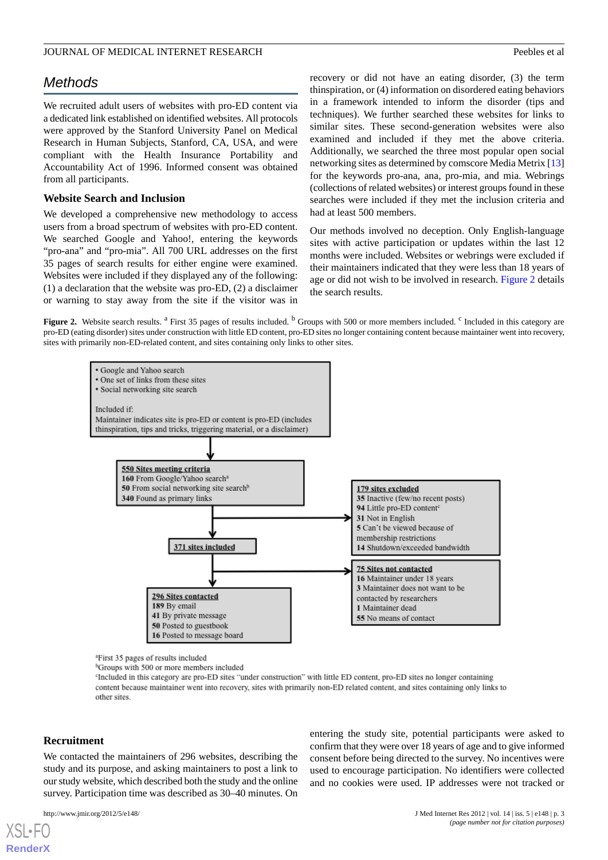# *Methods*

We recruited adult users of websites with pro-ED content via a dedicated link established on identified websites. All protocols were approved by the Stanford University Panel on Medical Research in Human Subjects, Stanford, CA, USA, and were compliant with the Health Insurance Portability and Accountability Act of 1996. Informed consent was obtained from all participants.

#### **Website Search and Inclusion**

We developed a comprehensive new methodology to access users from a broad spectrum of websites with pro-ED content. We searched Google and Yahoo!, entering the keywords "pro-ana" and "pro-mia". All 700 URL addresses on the first 35 pages of search results for either engine were examined. Websites were included if they displayed any of the following: (1) a declaration that the website was pro-ED, (2) a disclaimer or warning to stay away from the site if the visitor was in

recovery or did not have an eating disorder, (3) the term thinspiration, or (4) information on disordered eating behaviors in a framework intended to inform the disorder (tips and techniques). We further searched these websites for links to similar sites. These second-generation websites were also examined and included if they met the above criteria. Additionally, we searched the three most popular open social networking sites as determined by comscore Media Metrix [\[13](#page-14-8)] for the keywords pro-ana, ana, pro-mia, and mia. Webrings (collections of related websites) or interest groups found in these searches were included if they met the inclusion criteria and had at least 500 members.

Our methods involved no deception. Only English-language sites with active participation or updates within the last 12 months were included. Websites or webrings were excluded if their maintainers indicated that they were less than 18 years of age or did not wish to be involved in research. [Figure 2](#page-2-0) details the search results.

<span id="page-2-0"></span>Figure 2. Website search results. <sup>a</sup> First 35 pages of results included. <sup>b</sup> Groups with 500 or more members included. <sup>c</sup> Included in this category are pro-ED (eating disorder) sites under construction with little ED content, pro-ED sites no longer containing content because maintainer went into recovery, sites with primarily non-ED-related content, and sites containing only links to other sites.



<sup>a</sup>First 35 pages of results included

<sup>b</sup>Groups with 500 or more members included

<sup>c</sup>Included in this category are pro-ED sites "under construction" with little ED content, pro-ED sites no longer containing content because maintainer went into recovery, sites with primarily non-ED related content, and sites containing only links to other sites.

#### **Recruitment**

[XSL](http://www.w3.org/Style/XSL)•FO **[RenderX](http://www.renderx.com/)**

We contacted the maintainers of 296 websites, describing the study and its purpose, and asking maintainers to post a link to our study website, which described both the study and the online survey. Participation time was described as 30–40 minutes. On

entering the study site, potential participants were asked to confirm that they were over 18 years of age and to give informed consent before being directed to the survey. No incentives were used to encourage participation. No identifiers were collected and no cookies were used. IP addresses were not tracked or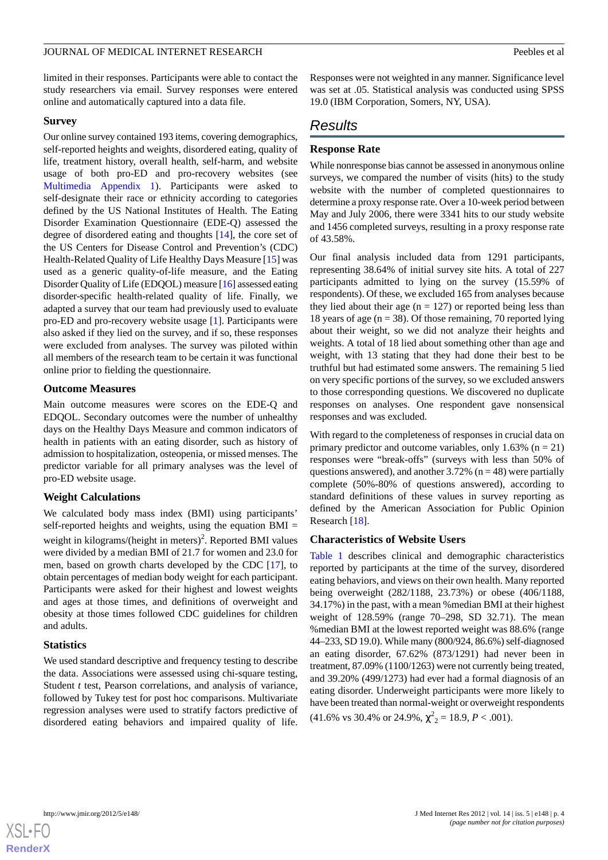limited in their responses. Participants were able to contact the study researchers via email. Survey responses were entered online and automatically captured into a data file.

#### **Survey**

Our online survey contained 193 items, covering demographics, self-reported heights and weights, disordered eating, quality of life, treatment history, overall health, self-harm, and website usage of both pro-ED and pro-recovery websites (see [Multimedia Appendix 1](#page-13-0)). Participants were asked to self-designate their race or ethnicity according to categories defined by the US National Institutes of Health. The Eating Disorder Examination Questionnaire (EDE-Q) assessed the degree of disordered eating and thoughts [[14\]](#page-14-9), the core set of the US Centers for Disease Control and Prevention's (CDC) Health-Related Quality of Life Healthy Days Measure [[15\]](#page-14-10) was used as a generic quality-of-life measure, and the Eating Disorder Quality of Life (EDQOL) measure [[16\]](#page-14-11) assessed eating disorder-specific health-related quality of life. Finally, we adapted a survey that our team had previously used to evaluate pro-ED and pro-recovery website usage [[1\]](#page-14-0). Participants were also asked if they lied on the survey, and if so, these responses were excluded from analyses. The survey was piloted within all members of the research team to be certain it was functional online prior to fielding the questionnaire.

#### **Outcome Measures**

Main outcome measures were scores on the EDE-Q and EDQOL. Secondary outcomes were the number of unhealthy days on the Healthy Days Measure and common indicators of health in patients with an eating disorder, such as history of admission to hospitalization, osteopenia, or missed menses. The predictor variable for all primary analyses was the level of pro-ED website usage.

#### **Weight Calculations**

We calculated body mass index (BMI) using participants' self-reported heights and weights, using the equation BMI = weight in kilograms/(height in meters)<sup>2</sup>. Reported BMI values were divided by a median BMI of 21.7 for women and 23.0 for men, based on growth charts developed by the CDC [[17\]](#page-14-12), to obtain percentages of median body weight for each participant. Participants were asked for their highest and lowest weights and ages at those times, and definitions of overweight and obesity at those times followed CDC guidelines for children and adults.

#### **Statistics**

We used standard descriptive and frequency testing to describe the data. Associations were assessed using chi-square testing, Student *t* test, Pearson correlations, and analysis of variance, followed by Tukey test for post hoc comparisons. Multivariate regression analyses were used to stratify factors predictive of disordered eating behaviors and impaired quality of life.

Responses were not weighted in any manner. Significance level was set at .05. Statistical analysis was conducted using SPSS 19.0 (IBM Corporation, Somers, NY, USA).

# *Results*

#### **Response Rate**

While nonresponse bias cannot be assessed in anonymous online surveys, we compared the number of visits (hits) to the study website with the number of completed questionnaires to determine a proxy response rate. Over a 10-week period between May and July 2006, there were 3341 hits to our study website and 1456 completed surveys, resulting in a proxy response rate of 43.58%.

Our final analysis included data from 1291 participants, representing 38.64% of initial survey site hits. A total of 227 participants admitted to lying on the survey (15.59% of respondents). Of these, we excluded 165 from analyses because they lied about their age  $(n = 127)$  or reported being less than 18 years of age ( $n = 38$ ). Of those remaining, 70 reported lying about their weight, so we did not analyze their heights and weights. A total of 18 lied about something other than age and weight, with 13 stating that they had done their best to be truthful but had estimated some answers. The remaining 5 lied on very specific portions of the survey, so we excluded answers to those corresponding questions. We discovered no duplicate responses on analyses. One respondent gave nonsensical responses and was excluded.

With regard to the completeness of responses in crucial data on primary predictor and outcome variables, only 1.63% ( $n = 21$ ) responses were "break-offs" (surveys with less than 50% of questions answered), and another  $3.72\%$  (n = 48) were partially complete (50%-80% of questions answered), according to standard definitions of these values in survey reporting as defined by the American Association for Public Opinion Research [\[18](#page-14-13)].

#### **Characteristics of Website Users**

[Table 1](#page-4-0) describes clinical and demographic characteristics reported by participants at the time of the survey, disordered eating behaviors, and views on their own health. Many reported being overweight (282/1188, 23.73%) or obese (406/1188, 34.17%) in the past, with a mean %median BMI at their highest weight of 128.59% (range 70–298, SD 32.71). The mean %median BMI at the lowest reported weight was 88.6% (range 44–233, SD 19.0). While many (800/924, 86.6%) self-diagnosed an eating disorder, 67.62% (873/1291) had never been in treatment, 87.09% (1100/1263) were not currently being treated, and 39.20% (499/1273) had ever had a formal diagnosis of an eating disorder. Underweight participants were more likely to have been treated than normal-weight or overweight respondents  $(41.6\% \text{ vs } 30.4\% \text{ or } 24.9\%, \chi^2_{2} = 18.9, P < .001).$ 

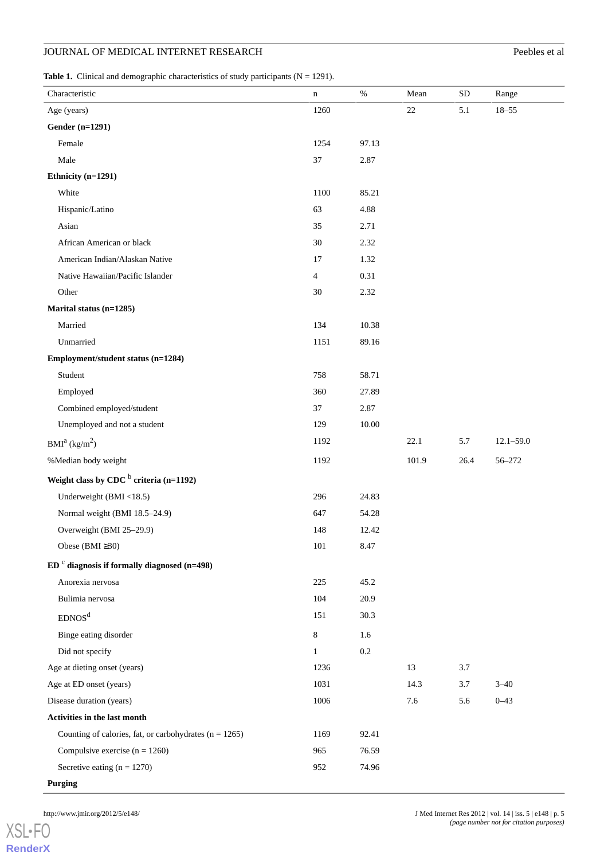#### <span id="page-4-0"></span>**Table 1.** Clinical and demographic characteristics of study participants  $(N = 1291)$ .

| Characteristic                                           | n              | $\%$      | Mean  | ${\rm SD}$ | Range         |
|----------------------------------------------------------|----------------|-----------|-------|------------|---------------|
| Age (years)                                              | 1260           |           | 22    | 5.1        | $18 - 55$     |
| <b>Gender (n=1291)</b>                                   |                |           |       |            |               |
| Female                                                   | 1254           | 97.13     |       |            |               |
| Male                                                     | 37             | 2.87      |       |            |               |
| Ethnicity (n=1291)                                       |                |           |       |            |               |
| White                                                    | 1100           | 85.21     |       |            |               |
| Hispanic/Latino                                          | 63             | 4.88      |       |            |               |
| Asian                                                    | 35             | 2.71      |       |            |               |
| African American or black                                | 30             | 2.32      |       |            |               |
| American Indian/Alaskan Native                           | 17             | 1.32      |       |            |               |
| Native Hawaiian/Pacific Islander                         | $\overline{4}$ | 0.31      |       |            |               |
| Other                                                    | 30             | 2.32      |       |            |               |
| Marital status (n=1285)                                  |                |           |       |            |               |
| Married                                                  | 134            | 10.38     |       |            |               |
| Unmarried                                                | 1151           | 89.16     |       |            |               |
| Employment/student status (n=1284)                       |                |           |       |            |               |
| Student                                                  | 758            | 58.71     |       |            |               |
| Employed                                                 | 360            | 27.89     |       |            |               |
| Combined employed/student                                | 37             | 2.87      |       |            |               |
| Unemployed and not a student                             | 129            | $10.00\,$ |       |            |               |
| BMI <sup>a</sup> (kg/m <sup>2</sup> )                    | 1192           |           | 22.1  | 5.7        | $12.1 - 59.0$ |
| %Median body weight                                      | 1192           |           | 101.9 | 26.4       | 56-272        |
| Weight class by CDC $b$ criteria (n=1192)                |                |           |       |            |               |
| Underweight (BMI <18.5)                                  | 296            | 24.83     |       |            |               |
| Normal weight (BMI 18.5-24.9)                            | 647            | 54.28     |       |            |               |
| Overweight (BMI 25-29.9)                                 | 148            | 12.42     |       |            |               |
| Obese (BMI $\geq 30$ )                                   | 101            | 8.47      |       |            |               |
| $EDc$ diagnosis if formally diagnosed (n=498)            |                |           |       |            |               |
| Anorexia nervosa                                         | $225\,$        | 45.2      |       |            |               |
| Bulimia nervosa                                          | 104            | 20.9      |       |            |               |
| EDNOS <sup>d</sup>                                       | 151            | 30.3      |       |            |               |
| Binge eating disorder                                    | 8              | 1.6       |       |            |               |
| Did not specify                                          | $\mathbf{1}$   | 0.2       |       |            |               |
| Age at dieting onset (years)                             | 1236           |           | 13    | 3.7        |               |
| Age at ED onset (years)                                  | 1031           |           | 14.3  | 3.7        | $3 - 40$      |
| Disease duration (years)                                 | 1006           |           | 7.6   | 5.6        | $0 - 43$      |
| Activities in the last month                             |                |           |       |            |               |
| Counting of calories, fat, or carbohydrates $(n = 1265)$ | 1169           | 92.41     |       |            |               |
| Compulsive exercise $(n = 1260)$                         | 965            | 76.59     |       |            |               |
| Secretive eating $(n = 1270)$                            | 952            | 74.96     |       |            |               |
| <b>Purging</b>                                           |                |           |       |            |               |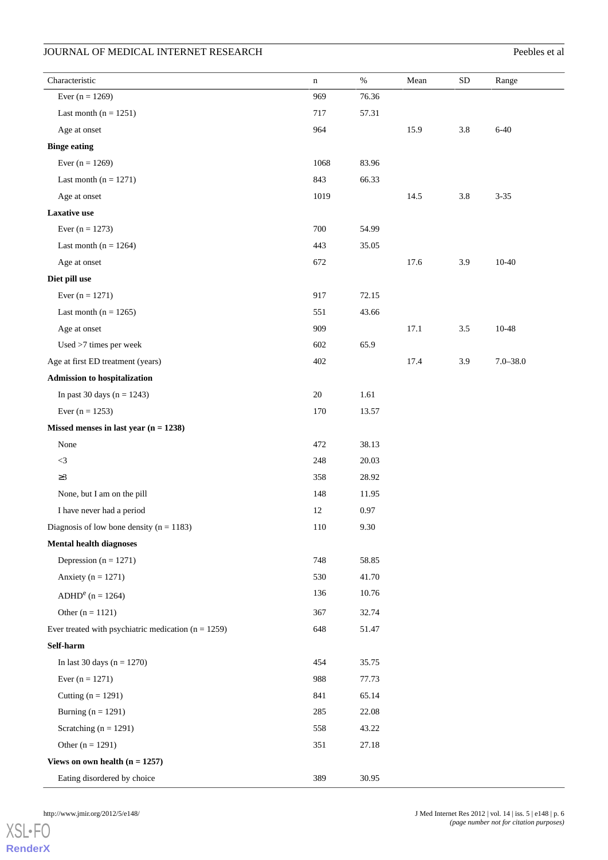| Characteristic                                        | $\mathbf n$ | $\%$  | Mean | ${\rm SD}$ | Range        |  |
|-------------------------------------------------------|-------------|-------|------|------------|--------------|--|
| Ever $(n = 1269)$                                     | 969         | 76.36 |      |            |              |  |
| Last month $(n = 1251)$                               | 717         | 57.31 |      |            |              |  |
| Age at onset                                          | 964         |       | 15.9 | $3.8\,$    | $6 - 40$     |  |
| <b>Binge eating</b>                                   |             |       |      |            |              |  |
| Ever $(n = 1269)$                                     | 1068        | 83.96 |      |            |              |  |
| Last month ( $n = 1271$ )                             | 843         | 66.33 |      |            |              |  |
| Age at onset                                          | 1019        |       | 14.5 | $3.8\,$    | $3 - 35$     |  |
| <b>Laxative use</b>                                   |             |       |      |            |              |  |
| Ever $(n = 1273)$                                     | 700         | 54.99 |      |            |              |  |
| Last month ( $n = 1264$ )                             | 443         | 35.05 |      |            |              |  |
| Age at onset                                          | 672         |       | 17.6 | 3.9        | $10 - 40$    |  |
| Diet pill use                                         |             |       |      |            |              |  |
| Ever $(n = 1271)$                                     | 917         | 72.15 |      |            |              |  |
| Last month ( $n = 1265$ )                             | 551         | 43.66 |      |            |              |  |
| Age at onset                                          | 909         |       | 17.1 | 3.5        | 10-48        |  |
| Used >7 times per week                                | 602         | 65.9  |      |            |              |  |
| Age at first ED treatment (years)                     | 402         |       | 17.4 | 3.9        | $7.0 - 38.0$ |  |
| <b>Admission to hospitalization</b>                   |             |       |      |            |              |  |
| In past 30 days $(n = 1243)$                          | 20          | 1.61  |      |            |              |  |
| Ever $(n = 1253)$                                     | 170         | 13.57 |      |            |              |  |
| Missed menses in last year $(n = 1238)$               |             |       |      |            |              |  |
| None                                                  | 472         | 38.13 |      |            |              |  |
| $<3\,$                                                | 248         | 20.03 |      |            |              |  |
| $\geq$ 3                                              | 358         | 28.92 |      |            |              |  |
| None, but I am on the pill                            | 148         | 11.95 |      |            |              |  |
| I have never had a period                             | 12          | 0.97  |      |            |              |  |
| Diagnosis of low bone density ( $n = 1183$ )          | $110\,$     | 9.30  |      |            |              |  |
| <b>Mental health diagnoses</b>                        |             |       |      |            |              |  |
| Depression ( $n = 1271$ )                             | 748         | 58.85 |      |            |              |  |
| Anxiety ( $n = 1271$ )                                | 530         | 41.70 |      |            |              |  |
| $ADHDe$ (n = 1264)                                    | 136         | 10.76 |      |            |              |  |
| Other $(n = 1121)$                                    | 367         | 32.74 |      |            |              |  |
| Ever treated with psychiatric medication $(n = 1259)$ | 648         | 51.47 |      |            |              |  |
| Self-harm                                             |             |       |      |            |              |  |
| In last 30 days $(n = 1270)$                          | 454         | 35.75 |      |            |              |  |
| Ever $(n = 1271)$                                     | 988         | 77.73 |      |            |              |  |
| Cutting $(n = 1291)$                                  | 841         | 65.14 |      |            |              |  |
| Burning ( $n = 1291$ )                                | 285         | 22.08 |      |            |              |  |
| Scratching ( $n = 1291$ )                             | 558         | 43.22 |      |            |              |  |
| Other $(n = 1291)$                                    | 351         | 27.18 |      |            |              |  |
| Views on own health $(n = 1257)$                      |             |       |      |            |              |  |
| Eating disordered by choice                           | 389         | 30.95 |      |            |              |  |
|                                                       |             |       |      |            |              |  |

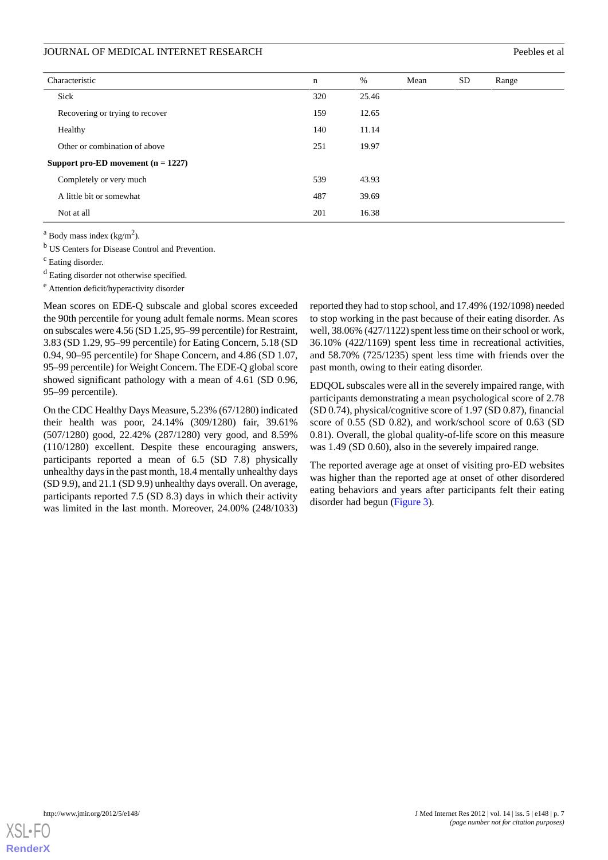| Characteristic                       | n   | %     | Mean | SD | Range |
|--------------------------------------|-----|-------|------|----|-------|
| Sick                                 | 320 | 25.46 |      |    |       |
| Recovering or trying to recover      | 159 | 12.65 |      |    |       |
| Healthy                              | 140 | 11.14 |      |    |       |
| Other or combination of above        | 251 | 19.97 |      |    |       |
| Support pro-ED movement $(n = 1227)$ |     |       |      |    |       |
| Completely or very much              | 539 | 43.93 |      |    |       |
| A little bit or somewhat             | 487 | 39.69 |      |    |       |
| Not at all                           | 201 | 16.38 |      |    |       |

 $a$  Body mass index (kg/m<sup>2</sup>).

<sup>b</sup> US Centers for Disease Control and Prevention.

<sup>c</sup> Eating disorder.

<sup>d</sup> Eating disorder not otherwise specified.

<sup>e</sup> Attention deficit/hyperactivity disorder

Mean scores on EDE-Q subscale and global scores exceeded the 90th percentile for young adult female norms. Mean scores on subscales were 4.56 (SD 1.25, 95–99 percentile) for Restraint, 3.83 (SD 1.29, 95–99 percentile) for Eating Concern, 5.18 (SD 0.94, 90–95 percentile) for Shape Concern, and 4.86 (SD 1.07, 95–99 percentile) for Weight Concern. The EDE-Q global score showed significant pathology with a mean of 4.61 (SD 0.96, 95–99 percentile).

On the CDC Healthy Days Measure, 5.23% (67/1280) indicated their health was poor, 24.14% (309/1280) fair, 39.61% (507/1280) good, 22.42% (287/1280) very good, and 8.59% (110/1280) excellent. Despite these encouraging answers, participants reported a mean of 6.5 (SD 7.8) physically unhealthy days in the past month, 18.4 mentally unhealthy days (SD 9.9), and 21.1 (SD 9.9) unhealthy days overall. On average, participants reported 7.5 (SD 8.3) days in which their activity was limited in the last month. Moreover, 24.00% (248/1033) reported they had to stop school, and 17.49% (192/1098) needed to stop working in the past because of their eating disorder. As well, 38.06% (427/1122) spent less time on their school or work, 36.10% (422/1169) spent less time in recreational activities, and 58.70% (725/1235) spent less time with friends over the past month, owing to their eating disorder.

EDQOL subscales were all in the severely impaired range, with participants demonstrating a mean psychological score of 2.78 (SD 0.74), physical/cognitive score of 1.97 (SD 0.87), financial score of 0.55 (SD 0.82), and work/school score of 0.63 (SD 0.81). Overall, the global quality-of-life score on this measure was 1.49 (SD 0.60), also in the severely impaired range.

The reported average age at onset of visiting pro-ED websites was higher than the reported age at onset of other disordered eating behaviors and years after participants felt their eating disorder had begun ([Figure 3\)](#page-7-0).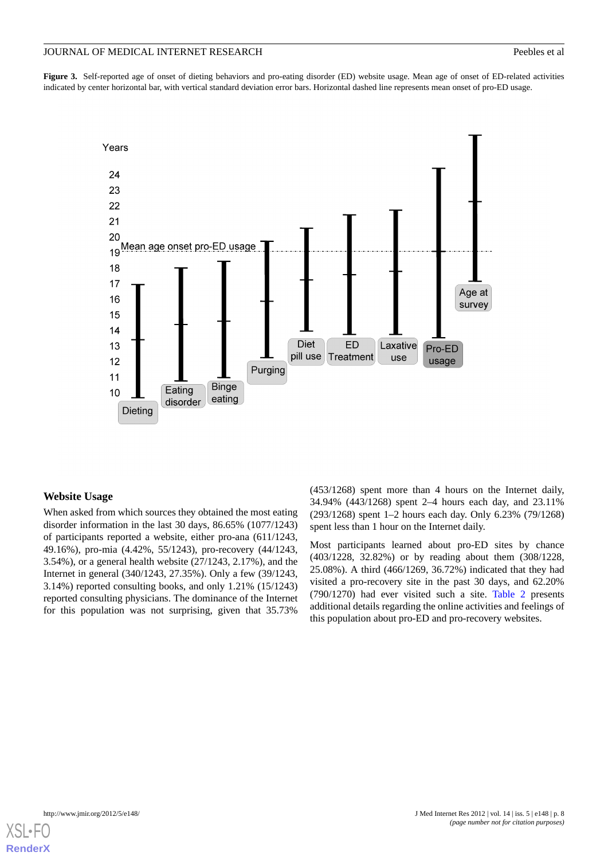<span id="page-7-0"></span>**Figure 3.** Self-reported age of onset of dieting behaviors and pro-eating disorder (ED) website usage. Mean age of onset of ED-related activities indicated by center horizontal bar, with vertical standard deviation error bars. Horizontal dashed line represents mean onset of pro-ED usage.



# **Website Usage**

When asked from which sources they obtained the most eating disorder information in the last 30 days, 86.65% (1077/1243) of participants reported a website, either pro-ana (611/1243, 49.16%), pro-mia (4.42%, 55/1243), pro-recovery (44/1243, 3.54%), or a general health website (27/1243, 2.17%), and the Internet in general (340/1243, 27.35%). Only a few (39/1243, 3.14%) reported consulting books, and only 1.21% (15/1243) reported consulting physicians. The dominance of the Internet for this population was not surprising, given that 35.73%

(453/1268) spent more than 4 hours on the Internet daily, 34.94% (443/1268) spent 2–4 hours each day, and 23.11% (293/1268) spent 1–2 hours each day. Only 6.23% (79/1268) spent less than 1 hour on the Internet daily.

Most participants learned about pro-ED sites by chance (403/1228, 32.82%) or by reading about them (308/1228, 25.08%). A third (466/1269, 36.72%) indicated that they had visited a pro-recovery site in the past 30 days, and 62.20% (790/1270) had ever visited such a site. [Table 2](#page-8-0) presents additional details regarding the online activities and feelings of this population about pro-ED and pro-recovery websites.

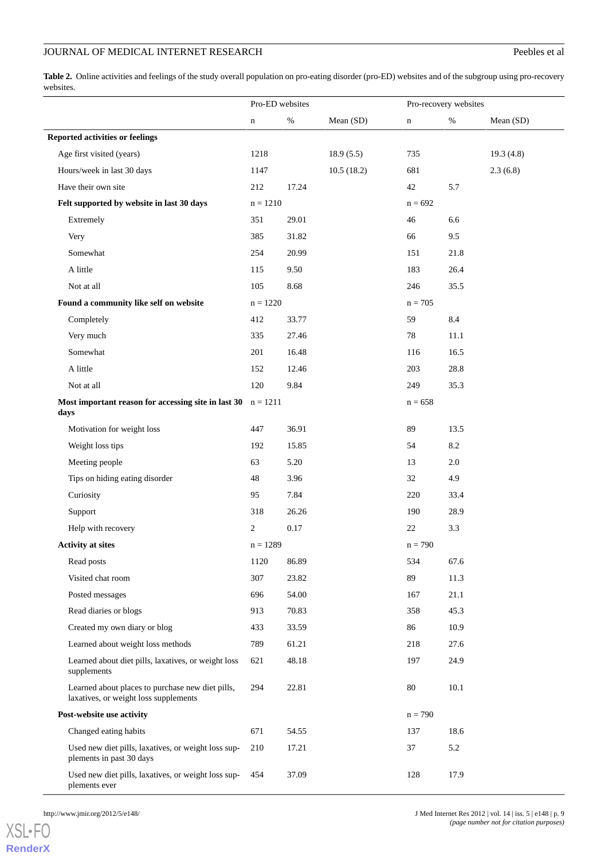<span id="page-8-0"></span>Table 2. Online activities and feelings of the study overall population on pro-eating disorder (pro-ED) websites and of the subgroup using pro-recovery websites.

|                                                                                           | Pro-ED websites |       |            | Pro-recovery websites |      |           |
|-------------------------------------------------------------------------------------------|-----------------|-------|------------|-----------------------|------|-----------|
|                                                                                           | $\mathbf n$     | $\%$  | Mean (SD)  | $\mathbf n$           | $\%$ | Mean (SD) |
| <b>Reported activities or feelings</b>                                                    |                 |       |            |                       |      |           |
| Age first visited (years)                                                                 | 1218            |       | 18.9(5.5)  | 735                   |      | 19.3(4.8) |
| Hours/week in last 30 days                                                                | 1147            |       | 10.5(18.2) | 681                   |      | 2.3(6.8)  |
| Have their own site                                                                       | 212             | 17.24 |            | 42                    | 5.7  |           |
| Felt supported by website in last 30 days                                                 | $n = 1210$      |       |            | $n = 692$             |      |           |
| Extremely                                                                                 | 351             | 29.01 |            | 46                    | 6.6  |           |
| Very                                                                                      | 385             | 31.82 |            | 66                    | 9.5  |           |
| Somewhat                                                                                  | 254             | 20.99 |            | 151                   | 21.8 |           |
| A little                                                                                  | 115             | 9.50  |            | 183                   | 26.4 |           |
| Not at all                                                                                | 105             | 8.68  |            | 246                   | 35.5 |           |
| Found a community like self on website                                                    | $n = 1220$      |       |            | $n = 705$             |      |           |
| Completely                                                                                | 412             | 33.77 |            | 59                    | 8.4  |           |
| Very much                                                                                 | 335             | 27.46 |            | 78                    | 11.1 |           |
| Somewhat                                                                                  | 201             | 16.48 |            | 116                   | 16.5 |           |
| A little                                                                                  | 152             | 12.46 |            | 203                   | 28.8 |           |
| Not at all                                                                                | 120             | 9.84  |            | 249                   | 35.3 |           |
| Most important reason for accessing site in last 30<br>days                               | $n = 1211$      |       |            | $n = 658$             |      |           |
| Motivation for weight loss                                                                | 447             | 36.91 |            | 89                    | 13.5 |           |
| Weight loss tips                                                                          | 192             | 15.85 |            | 54                    | 8.2  |           |
| Meeting people                                                                            | 63              | 5.20  |            | 13                    | 2.0  |           |
| Tips on hiding eating disorder                                                            | 48              | 3.96  |            | 32                    | 4.9  |           |
| Curiosity                                                                                 | 95              | 7.84  |            | 220                   | 33.4 |           |
| Support                                                                                   | 318             | 26.26 |            | 190                   | 28.9 |           |
| Help with recovery                                                                        | 2               | 0.17  |            | 22                    | 3.3  |           |
| <b>Activity at sites</b>                                                                  | $n = 1289$      |       |            | $n = 790$             |      |           |
| Read posts                                                                                | 1120            | 86.89 |            | 534                   | 67.6 |           |
| Visited chat room                                                                         | 307             | 23.82 |            | 89                    | 11.3 |           |
| Posted messages                                                                           | 696             | 54.00 |            | 167                   | 21.1 |           |
| Read diaries or blogs                                                                     | 913             | 70.83 |            | 358                   | 45.3 |           |
| Created my own diary or blog                                                              | 433             | 33.59 |            | 86                    | 10.9 |           |
| Learned about weight loss methods                                                         | 789             | 61.21 |            | 218                   | 27.6 |           |
| Learned about diet pills, laxatives, or weight loss<br>supplements                        | 621             | 48.18 |            | 197                   | 24.9 |           |
| Learned about places to purchase new diet pills,<br>laxatives, or weight loss supplements | 294             | 22.81 |            | 80                    | 10.1 |           |
| Post-website use activity                                                                 |                 |       |            | $n = 790$             |      |           |
| Changed eating habits                                                                     | 671             | 54.55 |            | 137                   | 18.6 |           |
| Used new diet pills, laxatives, or weight loss sup-<br>plements in past 30 days           | 210             | 17.21 |            | 37                    | 5.2  |           |
| Used new diet pills, laxatives, or weight loss sup-<br>plements ever                      | 454             | 37.09 |            | 128                   | 17.9 |           |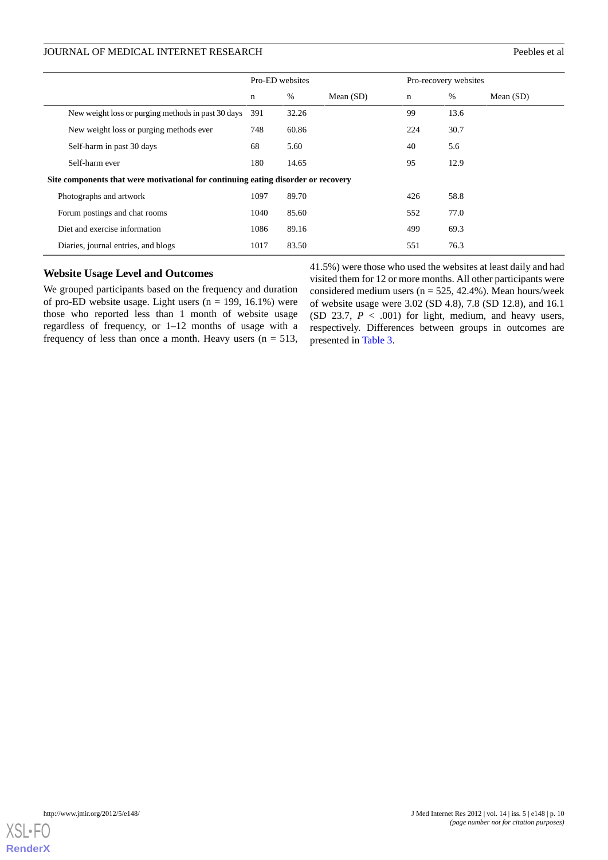|                                                                                   |                                                    | Pro-ED websites |       |             | Pro-recovery websites |      |             |
|-----------------------------------------------------------------------------------|----------------------------------------------------|-----------------|-------|-------------|-----------------------|------|-------------|
|                                                                                   |                                                    | n               | %     | Mean $(SD)$ | $\mathbf n$           | %    | Mean $(SD)$ |
|                                                                                   | New weight loss or purging methods in past 30 days | 391             | 32.26 |             | 99                    | 13.6 |             |
|                                                                                   | New weight loss or purging methods ever            | 748             | 60.86 |             | 224                   | 30.7 |             |
|                                                                                   | Self-harm in past 30 days                          | 68              | 5.60  |             | 40                    | 5.6  |             |
|                                                                                   | Self-harm ever                                     | 180             | 14.65 |             | 95                    | 12.9 |             |
| Site components that were motivational for continuing eating disorder or recovery |                                                    |                 |       |             |                       |      |             |
|                                                                                   | Photographs and artwork                            | 1097            | 89.70 |             | 426                   | 58.8 |             |
|                                                                                   | Forum postings and chat rooms                      | 1040            | 85.60 |             | 552                   | 77.0 |             |
|                                                                                   | Diet and exercise information                      | 1086            | 89.16 |             | 499                   | 69.3 |             |
|                                                                                   | Diaries, journal entries, and blogs                | 1017            | 83.50 |             | 551                   | 76.3 |             |

### **Website Usage Level and Outcomes**

We grouped participants based on the frequency and duration of pro-ED website usage. Light users  $(n = 199, 16.1\%)$  were those who reported less than 1 month of website usage regardless of frequency, or 1–12 months of usage with a frequency of less than once a month. Heavy users  $(n = 513,$ 

41.5%) were those who used the websites at least daily and had visited them for 12 or more months. All other participants were considered medium users ( $n = 525, 42.4%$ ). Mean hours/week of website usage were 3.02 (SD 4.8), 7.8 (SD 12.8), and 16.1 (SD 23.7, *P* < .001) for light, medium, and heavy users, respectively. Differences between groups in outcomes are presented in [Table 3](#page-10-0).

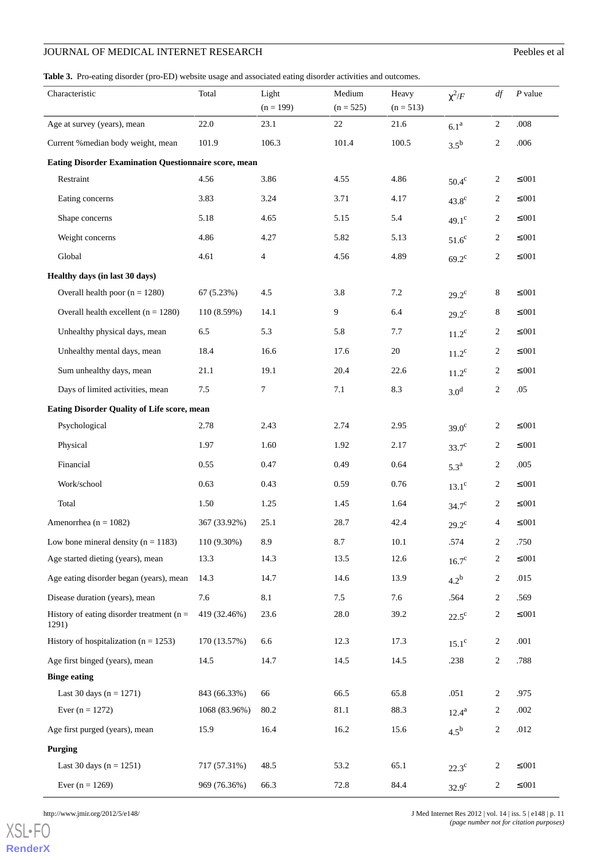<span id="page-10-0"></span>**Table 3.** Pro-eating disorder (pro-ED) website usage and associated eating disorder activities and outcomes.

| Characteristic                                               | Total         | Light<br>$(n = 199)$     | Medium<br>$(n = 525)$ | Heavy<br>$(n = 513)$ | $\chi^2/F$         | df             | $P$ value    |
|--------------------------------------------------------------|---------------|--------------------------|-----------------------|----------------------|--------------------|----------------|--------------|
| Age at survey (years), mean                                  | 22.0          | 23.1                     | 22                    | 21.6                 | 6.1 <sup>a</sup>   | $\overline{2}$ | .008         |
| Current % median body weight, mean                           | 101.9         | 106.3                    | 101.4                 | 100.5                | $3.5^{\rm b}$      | $\overline{c}$ | .006         |
| <b>Eating Disorder Examination Questionnaire score, mean</b> |               |                          |                       |                      |                    |                |              |
| Restraint                                                    | 4.56          | 3.86                     | 4.55                  | 4.86                 | $50.4^\mathrm{c}$  | 2              | $\leq 0.01$  |
| Eating concerns                                              | 3.83          | 3.24                     | 3.71                  | 4.17                 | $43.8^\circ$       | $\overline{c}$ | $\leq 0.01$  |
| Shape concerns                                               | 5.18          | 4.65                     | 5.15                  | 5.4                  | 49.1 <sup>c</sup>  | 2              | $\leq 0.01$  |
| Weight concerns                                              | 4.86          | 4.27                     | 5.82                  | 5.13                 | $51.6^c$           | 2              | $\leq 0.01$  |
| Global                                                       | 4.61          | $\overline{\mathcal{A}}$ | 4.56                  | 4.89                 | $69.2^{\circ}$     | $\overline{c}$ | $\leq 0.01$  |
| Healthy days (in last 30 days)                               |               |                          |                       |                      |                    |                |              |
| Overall health poor $(n = 1280)$                             | 67(5.23%)     | 4.5                      | 3.8                   | 7.2                  | $29.2^{\circ}$     | 8              | $\leq 0.01$  |
| Overall health excellent $(n = 1280)$                        | 110 (8.59%)   | 14.1                     | 9                     | 6.4                  | $29.2^{\circ}$     | 8              | $\leq 0.01$  |
| Unhealthy physical days, mean                                | 6.5           | 5.3                      | 5.8                   | 7.7                  | $11.2^{\circ}$     | $\overline{c}$ | $\leq 0.01$  |
| Unhealthy mental days, mean                                  | 18.4          | 16.6                     | 17.6                  | 20                   | $11.2^{\circ}$     | 2              | $\leq 0.01$  |
| Sum unhealthy days, mean                                     | 21.1          | 19.1                     | 20.4                  | 22.6                 | $11.2^{\circ}$     | 2              | $\leq 0.01$  |
| Days of limited activities, mean                             | 7.5           | 7                        | 7.1                   | 8.3                  | 3.0 <sup>d</sup>   | $\overline{c}$ | .05          |
| <b>Eating Disorder Quality of Life score, mean</b>           |               |                          |                       |                      |                    |                |              |
| Psychological                                                | 2.78          | 2.43                     | 2.74                  | 2.95                 | $39.0^{\circ}$     | 2              | $\leq 0.01$  |
| Physical                                                     | 1.97          | 1.60                     | 1.92                  | 2.17                 | $33.7^{\circ}$     | 2              | $\leq 0.01$  |
| Financial                                                    | 0.55          | 0.47                     | 0.49                  | 0.64                 | $5.3^{\mathrm{a}}$ | $\sqrt{2}$     | .005         |
| Work/school                                                  | 0.63          | 0.43                     | 0.59                  | 0.76                 | $13.1^\circ$       | 2              | $\leq 0.01$  |
| Total                                                        | 1.50          | 1.25                     | 1.45                  | 1.64                 | $34.7^\circ$       | 2              | $\leq 0.01$  |
| Amenorrhea ( $n = 1082$ )                                    | 367 (33.92%)  | 25.1                     | 28.7                  | 42.4                 | $29.2^{\circ}$     | 4              | $\leq 0.01$  |
| Low bone mineral density ( $n = 1183$ )                      | 110 (9.30%)   | 8.9                      | 8.7                   | $10.1\,$             | .574               | $\overline{c}$ | .750         |
| Age started dieting (years), mean                            | 13.3          | 14.3                     | 13.5                  | 12.6                 | $16.7^{\circ}$     | $\overline{c}$ | $\leq 0.01$  |
| Age eating disorder began (years), mean                      | 14.3          | 14.7                     | 14.6                  | 13.9                 | $4.2^b$            | $\overline{c}$ | .015         |
| Disease duration (years), mean                               | 7.6           | 8.1                      | 7.5                   | 7.6                  | .564               | $\overline{c}$ | .569         |
| History of eating disorder treatment ( $n =$<br>1291)        | 419 (32.46%)  | 23.6                     | 28.0                  | 39.2                 | $22.5^{\circ}$     | $\overline{c}$ | $\leq 0.01$  |
| History of hospitalization ( $n = 1253$ )                    | 170 (13.57%)  | 6.6                      | 12.3                  | 17.3                 | $15.1^\circ$       | $\overline{c}$ | .001         |
| Age first binged (years), mean                               | 14.5          | 14.7                     | 14.5                  | 14.5                 | .238               | $\sqrt{2}$     | .788         |
| <b>Binge eating</b>                                          |               |                          |                       |                      |                    |                |              |
| Last 30 days $(n = 1271)$                                    | 843 (66.33%)  | 66                       | 66.5                  | 65.8                 | .051               | $\overline{2}$ | .975         |
| Ever $(n = 1272)$                                            | 1068 (83.96%) | 80.2                     | 81.1                  | 88.3                 | $12.4^{\rm a}$     | $\overline{c}$ | $.002\,$     |
| Age first purged (years), mean                               | 15.9          | 16.4                     | 16.2                  | 15.6                 | $4.5^{\rm b}$      | $\sqrt{2}$     | $.012\,$     |
| <b>Purging</b>                                               |               |                          |                       |                      |                    |                |              |
| Last 30 days $(n = 1251)$                                    | 717 (57.31%)  | 48.5                     | 53.2                  | 65.1                 | $22.3^{\circ}$     | $\overline{c}$ | $\leq 0.01$  |
| Ever $(n = 1269)$                                            | 969 (76.36%)  | 66.3                     | 72.8                  | 84.4                 | $32.9^{\circ}$     | $\sqrt{2}$     | ${\leq}.001$ |

[XSL](http://www.w3.org/Style/XSL)•FO **[RenderX](http://www.renderx.com/)**

http://www.jmir.org/2012/5/e148/ J Med Internet Res 2012 | vol. 14 | iss. 5 | e148 | p. 11 *(page number not for citation purposes)*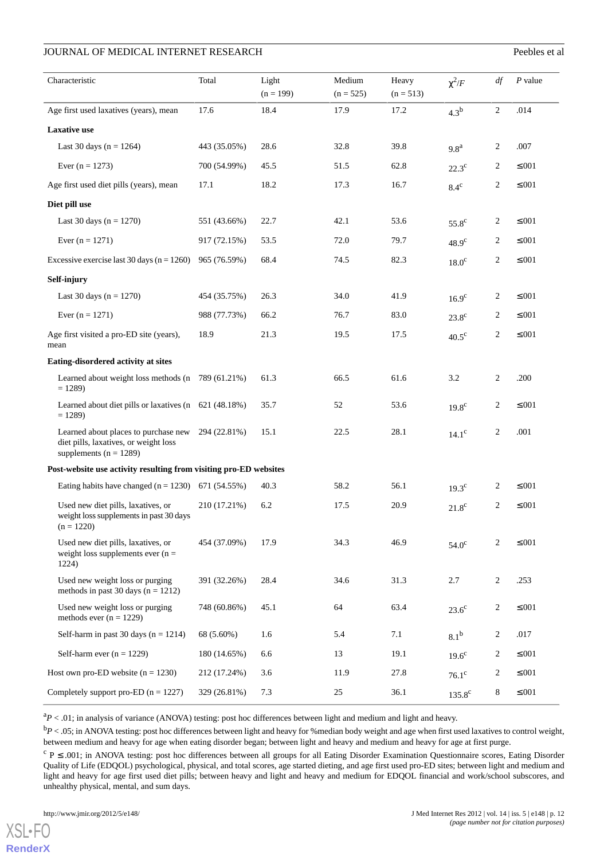| Characteristic                                                                                              | Total        | Light<br>$(n = 199)$ | Medium<br>$(n = 525)$ | Heavy<br>$(n = 513)$ | $\chi^2/F$         | df             | $P$ value    |
|-------------------------------------------------------------------------------------------------------------|--------------|----------------------|-----------------------|----------------------|--------------------|----------------|--------------|
| Age first used laxatives (years), mean                                                                      | 17.6         | 18.4                 | 17.9                  | 17.2                 | 4.3 <sup>b</sup>   | $\mathbf{2}$   | .014         |
| <b>Laxative</b> use                                                                                         |              |                      |                       |                      |                    |                |              |
| Last 30 days ( $n = 1264$ )                                                                                 | 443 (35.05%) | 28.6                 | 32.8                  | 39.8                 | 9.8 <sup>a</sup>   | 2              | .007         |
| Ever $(n = 1273)$                                                                                           | 700 (54.99%) | 45.5                 | 51.5                  | 62.8                 | $22.3^{\circ}$     | 2              | $\leq 0.01$  |
| Age first used diet pills (years), mean                                                                     | 17.1         | 18.2                 | 17.3                  | 16.7                 | $8.4^{\circ}$      | $\overline{2}$ | $\leq 0.01$  |
| Diet pill use                                                                                               |              |                      |                       |                      |                    |                |              |
| Last 30 days ( $n = 1270$ )                                                                                 | 551 (43.66%) | 22.7                 | 42.1                  | 53.6                 | $55.8^{\circ}$     | 2              | $\leq 0.01$  |
| Ever $(n = 1271)$                                                                                           | 917 (72.15%) | 53.5                 | 72.0                  | 79.7                 | 48.9 <sup>c</sup>  | 2              | $\leq 0.01$  |
| Excessive exercise last 30 days ( $n = 1260$ )                                                              | 965 (76.59%) | 68.4                 | 74.5                  | 82.3                 | $18.0^{\circ}$     | 2              | $\leq 0.01$  |
| Self-injury                                                                                                 |              |                      |                       |                      |                    |                |              |
| Last 30 days ( $n = 1270$ )                                                                                 | 454 (35.75%) | 26.3                 | 34.0                  | 41.9                 | $16.9^\text{c}$    | 2              | $\leq 0.01$  |
| Ever $(n = 1271)$                                                                                           | 988 (77.73%) | 66.2                 | 76.7                  | 83.0                 | $23.8^\mathrm{c}$  | 2              | $\leq 0.01$  |
| Age first visited a pro-ED site (years),<br>mean                                                            | 18.9         | 21.3                 | 19.5                  | 17.5                 | $40.5^{\circ}$     | 2              | $\leq 0.01$  |
| Eating-disordered activity at sites                                                                         |              |                      |                       |                      |                    |                |              |
| Learned about weight loss methods (n 789 (61.21%)<br>$= 1289$                                               |              | 61.3                 | 66.5                  | 61.6                 | 3.2                | 2              | .200         |
| Learned about diet pills or laxatives (n 621 (48.18%)<br>$= 1289$                                           |              | 35.7                 | 52                    | 53.6                 | 19.8 <sup>c</sup>  | 2              | $\leq 0.01$  |
| Learned about places to purchase new<br>diet pills, laxatives, or weight loss<br>supplements ( $n = 1289$ ) | 294 (22.81%) | 15.1                 | 22.5                  | 28.1                 | $14.1^\circ$       | $\overline{c}$ | .001         |
| Post-website use activity resulting from visiting pro-ED websites                                           |              |                      |                       |                      |                    |                |              |
| Eating habits have changed $(n = 1230)$ 671 (54.55%)                                                        |              | 40.3                 | 58.2                  | 56.1                 | $19.3^{\circ}$     | 2              | $\leq 0.01$  |
| Used new diet pills, laxatives, or<br>weight loss supplements in past 30 days<br>$(n = 1220)$               | 210 (17.21%) | 6.2                  | 17.5                  | 20.9                 | $21.8^{\circ}$     | 2              | $\leq 0.01$  |
| Used new diet pills, laxatives, or<br>weight loss supplements ever $(n =$<br>1224)                          | 454 (37.09%) | 17.9                 | 34.3                  | 46.9                 | 54.0 <sup>c</sup>  | 2              | $\leq 0.01$  |
| Used new weight loss or purging<br>methods in past 30 days ( $n = 1212$ )                                   | 391 (32.26%) | 28.4                 | 34.6                  | 31.3                 | 2.7                | $\overline{2}$ | .253         |
| Used new weight loss or purging<br>methods ever $(n = 1229)$                                                | 748 (60.86%) | 45.1                 | 64                    | 63.4                 | $23.6^{\circ}$     | 2              | $\leq 0.01$  |
| Self-harm in past 30 days $(n = 1214)$                                                                      | 68 (5.60%)   | 1.6                  | 5.4                   | 7.1                  | 8.1 <sup>b</sup>   | 2              | .017         |
| Self-harm ever $(n = 1229)$                                                                                 | 180 (14.65%) | 6.6                  | 13                    | 19.1                 | $19.6^{\circ}$     | 2              | ${\leq}.001$ |
| Host own pro-ED website $(n = 1230)$                                                                        | 212 (17.24%) | 3.6                  | 11.9                  | 27.8                 | $76.1^\circ$       | 2              | ${\leq}.001$ |
| Completely support pro-ED $(n = 1227)$                                                                      | 329 (26.81%) | 7.3                  | $25\,$                | 36.1                 | 135.8 <sup>c</sup> | 8              | ${\leq}.001$ |

 ${}^{a}P$  < .01; in analysis of variance (ANOVA) testing: post hoc differences between light and medium and light and heavy.

<sup>b</sup> $P$  < .05; in ANOVA testing: post hoc differences between light and heavy for % median body weight and age when first used laxatives to control weight, between medium and heavy for age when eating disorder began; between light and heavy and medium and heavy for age at first purge.

 $c$  P  $\leq$  .001; in ANOVA testing: post hoc differences between all groups for all Eating Disorder Examination Questionnaire scores, Eating Disorder Quality of Life (EDQOL) psychological, physical, and total scores, age started dieting, and age first used pro-ED sites; between light and medium and light and heavy for age first used diet pills; between heavy and light and heavy and medium for EDQOL financial and work/school subscores, and unhealthy physical, mental, and sum days.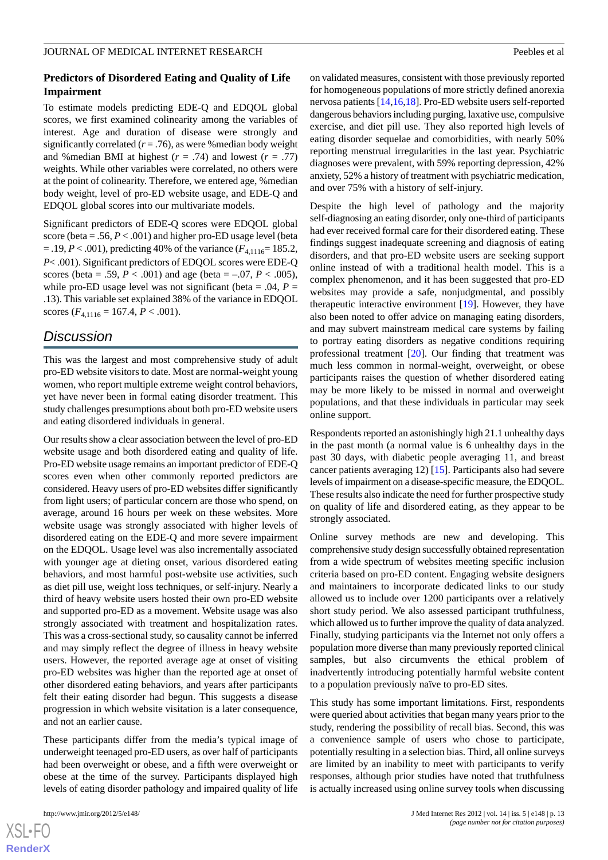### **Predictors of Disordered Eating and Quality of Life Impairment**

To estimate models predicting EDE-Q and EDQOL global scores, we first examined colinearity among the variables of interest. Age and duration of disease were strongly and significantly correlated  $(r = .76)$ , as were % median body weight and % median BMI at highest  $(r = .74)$  and lowest  $(r = .77)$ weights. While other variables were correlated, no others were at the point of colinearity. Therefore, we entered age, %median body weight, level of pro-ED website usage, and EDE-Q and EDQOL global scores into our multivariate models.

Significant predictors of EDE-Q scores were EDQOL global score (beta = .56,  $P < .001$ ) and higher pro-ED usage level (beta  $=$  .19, *P* < .001), predicting 40% of the variance ( $F_{4,1116}$ = 185.2, *P*< .001). Significant predictors of EDQOL scores were EDE-Q scores (beta = .59,  $P < .001$ ) and age (beta = -.07,  $P < .005$ ), while pro-ED usage level was not significant (beta = .04,  $P =$ .13). This variable set explained 38% of the variance in EDQOL scores  $(F_{4,1116} = 167.4, P < .001)$ .

# *Discussion*

This was the largest and most comprehensive study of adult pro-ED website visitors to date. Most are normal-weight young women, who report multiple extreme weight control behaviors, yet have never been in formal eating disorder treatment. This study challenges presumptions about both pro-ED website users and eating disordered individuals in general.

Our results show a clear association between the level of pro-ED website usage and both disordered eating and quality of life. Pro-ED website usage remains an important predictor of EDE-Q scores even when other commonly reported predictors are considered. Heavy users of pro-ED websites differ significantly from light users; of particular concern are those who spend, on average, around 16 hours per week on these websites. More website usage was strongly associated with higher levels of disordered eating on the EDE-Q and more severe impairment on the EDQOL. Usage level was also incrementally associated with younger age at dieting onset, various disordered eating behaviors, and most harmful post-website use activities, such as diet pill use, weight loss techniques, or self-injury. Nearly a third of heavy website users hosted their own pro-ED website and supported pro-ED as a movement. Website usage was also strongly associated with treatment and hospitalization rates. This was a cross-sectional study, so causality cannot be inferred and may simply reflect the degree of illness in heavy website users. However, the reported average age at onset of visiting pro-ED websites was higher than the reported age at onset of other disordered eating behaviors, and years after participants felt their eating disorder had begun. This suggests a disease progression in which website visitation is a later consequence, and not an earlier cause.

These participants differ from the media's typical image of underweight teenaged pro-ED users, as over half of participants had been overweight or obese, and a fifth were overweight or obese at the time of the survey. Participants displayed high levels of eating disorder pathology and impaired quality of life

on validated measures, consistent with those previously reported for homogeneous populations of more strictly defined anorexia nervosa patients [\[14](#page-14-9),[16](#page-14-11)[,18](#page-14-13)]. Pro-ED website users self-reported dangerous behaviors including purging, laxative use, compulsive exercise, and diet pill use. They also reported high levels of eating disorder sequelae and comorbidities, with nearly 50% reporting menstrual irregularities in the last year. Psychiatric diagnoses were prevalent, with 59% reporting depression, 42% anxiety, 52% a history of treatment with psychiatric medication, and over 75% with a history of self-injury.

Despite the high level of pathology and the majority self-diagnosing an eating disorder, only one-third of participants had ever received formal care for their disordered eating. These findings suggest inadequate screening and diagnosis of eating disorders, and that pro-ED website users are seeking support online instead of with a traditional health model. This is a complex phenomenon, and it has been suggested that pro-ED websites may provide a safe, nonjudgmental, and possibly therapeutic interactive environment [\[19](#page-14-14)]. However, they have also been noted to offer advice on managing eating disorders, and may subvert mainstream medical care systems by failing to portray eating disorders as negative conditions requiring professional treatment [\[20](#page-14-15)]. Our finding that treatment was much less common in normal-weight, overweight, or obese participants raises the question of whether disordered eating may be more likely to be missed in normal and overweight populations, and that these individuals in particular may seek online support.

Respondents reported an astonishingly high 21.1 unhealthy days in the past month (a normal value is 6 unhealthy days in the past 30 days, with diabetic people averaging 11, and breast cancer patients averaging 12) [\[15](#page-14-10)]. Participants also had severe levels of impairment on a disease-specific measure, the EDQOL. These results also indicate the need for further prospective study on quality of life and disordered eating, as they appear to be strongly associated.

Online survey methods are new and developing. This comprehensive study design successfully obtained representation from a wide spectrum of websites meeting specific inclusion criteria based on pro-ED content. Engaging website designers and maintainers to incorporate dedicated links to our study allowed us to include over 1200 participants over a relatively short study period. We also assessed participant truthfulness, which allowed us to further improve the quality of data analyzed. Finally, studying participants via the Internet not only offers a population more diverse than many previously reported clinical samples, but also circumvents the ethical problem of inadvertently introducing potentially harmful website content to a population previously naïve to pro-ED sites.

This study has some important limitations. First, respondents were queried about activities that began many years prior to the study, rendering the possibility of recall bias. Second, this was a convenience sample of users who chose to participate, potentially resulting in a selection bias. Third, all online surveys are limited by an inability to meet with participants to verify responses, although prior studies have noted that truthfulness is actually increased using online survey tools when discussing

 $XS$ -FO **[RenderX](http://www.renderx.com/)**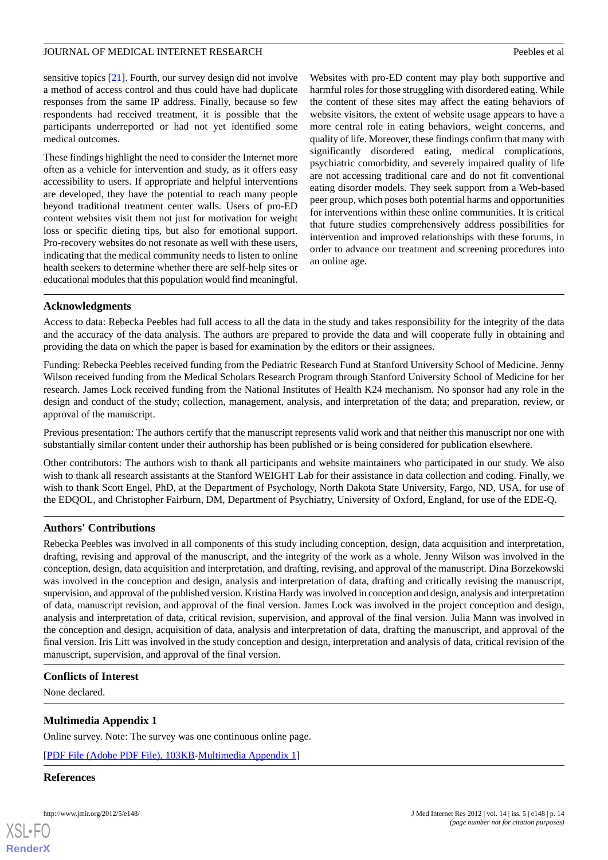sensitive topics [\[21](#page-14-16)]. Fourth, our survey design did not involve a method of access control and thus could have had duplicate responses from the same IP address. Finally, because so few respondents had received treatment, it is possible that the participants underreported or had not yet identified some medical outcomes.

These findings highlight the need to consider the Internet more often as a vehicle for intervention and study, as it offers easy accessibility to users. If appropriate and helpful interventions are developed, they have the potential to reach many people beyond traditional treatment center walls. Users of pro-ED content websites visit them not just for motivation for weight loss or specific dieting tips, but also for emotional support. Pro-recovery websites do not resonate as well with these users, indicating that the medical community needs to listen to online health seekers to determine whether there are self-help sites or educational modules that this population would find meaningful.

Websites with pro-ED content may play both supportive and harmful roles for those struggling with disordered eating. While the content of these sites may affect the eating behaviors of website visitors, the extent of website usage appears to have a more central role in eating behaviors, weight concerns, and quality of life. Moreover, these findings confirm that many with significantly disordered eating, medical complications, psychiatric comorbidity, and severely impaired quality of life are not accessing traditional care and do not fit conventional eating disorder models. They seek support from a Web-based peer group, which poses both potential harms and opportunities for interventions within these online communities. It is critical that future studies comprehensively address possibilities for intervention and improved relationships with these forums, in order to advance our treatment and screening procedures into an online age.

# **Acknowledgments**

Access to data: Rebecka Peebles had full access to all the data in the study and takes responsibility for the integrity of the data and the accuracy of the data analysis. The authors are prepared to provide the data and will cooperate fully in obtaining and providing the data on which the paper is based for examination by the editors or their assignees.

Funding: Rebecka Peebles received funding from the Pediatric Research Fund at Stanford University School of Medicine. Jenny Wilson received funding from the Medical Scholars Research Program through Stanford University School of Medicine for her research. James Lock received funding from the National Institutes of Health K24 mechanism. No sponsor had any role in the design and conduct of the study; collection, management, analysis, and interpretation of the data; and preparation, review, or approval of the manuscript.

Previous presentation: The authors certify that the manuscript represents valid work and that neither this manuscript nor one with substantially similar content under their authorship has been published or is being considered for publication elsewhere.

Other contributors: The authors wish to thank all participants and website maintainers who participated in our study. We also wish to thank all research assistants at the Stanford WEIGHT Lab for their assistance in data collection and coding. Finally, we wish to thank Scott Engel, PhD, at the Department of Psychology, North Dakota State University, Fargo, ND, USA, for use of the EDQOL, and Christopher Fairburn, DM, Department of Psychiatry, University of Oxford, England, for use of the EDE-Q.

# **Authors' Contributions**

Rebecka Peebles was involved in all components of this study including conception, design, data acquisition and interpretation, drafting, revising and approval of the manuscript, and the integrity of the work as a whole. Jenny Wilson was involved in the conception, design, data acquisition and interpretation, and drafting, revising, and approval of the manuscript. Dina Borzekowski was involved in the conception and design, analysis and interpretation of data, drafting and critically revising the manuscript, supervision, and approval of the published version. Kristina Hardy was involved in conception and design, analysis and interpretation of data, manuscript revision, and approval of the final version. James Lock was involved in the project conception and design, analysis and interpretation of data, critical revision, supervision, and approval of the final version. Julia Mann was involved in the conception and design, acquisition of data, analysis and interpretation of data, drafting the manuscript, and approval of the final version. Iris Litt was involved in the study conception and design, interpretation and analysis of data, critical revision of the manuscript, supervision, and approval of the final version.

# <span id="page-13-0"></span>**Conflicts of Interest**

None declared.

# **Multimedia Appendix 1**

Online survey. Note: The survey was one continuous online page.

[[PDF File \(Adobe PDF File\), 103KB-Multimedia Appendix 1](https://jmir.org/api/download?alt_name=jmir_v14i5e148_app1.pdf&filename=99393b3037832b3411c179cf77df6dc6.pdf)]

#### **References**

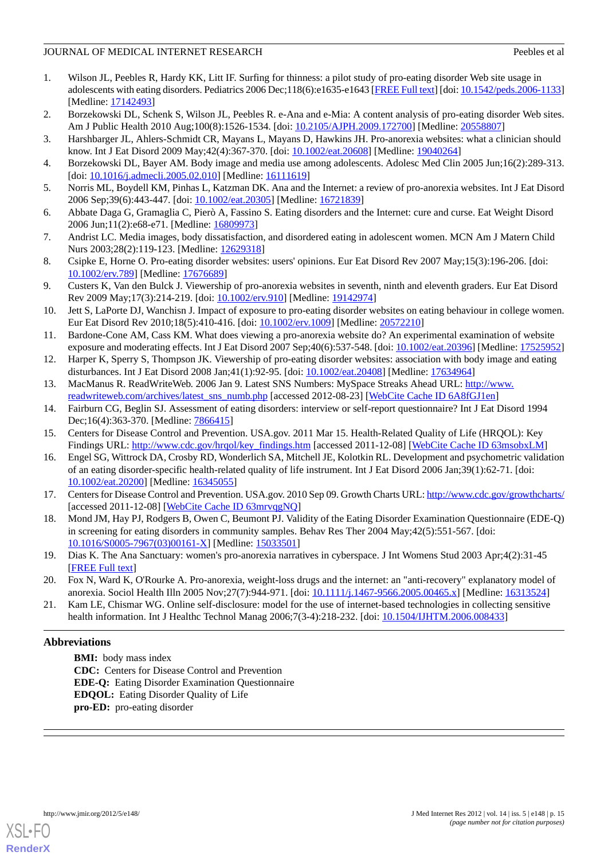- <span id="page-14-0"></span>1. Wilson JL, Peebles R, Hardy KK, Litt IF. Surfing for thinness: a pilot study of pro-eating disorder Web site usage in adolescents with eating disorders. Pediatrics 2006 Dec;118(6):e1635-e1643 [\[FREE Full text\]](http://pediatrics.aappublications.org/cgi/pmidlookup?view=long&pmid=17142493) [doi: [10.1542/peds.2006-1133\]](http://dx.doi.org/10.1542/peds.2006-1133) [Medline: [17142493](http://www.ncbi.nlm.nih.gov/entrez/query.fcgi?cmd=Retrieve&db=PubMed&list_uids=17142493&dopt=Abstract)]
- <span id="page-14-1"></span>2. Borzekowski DL, Schenk S, Wilson JL, Peebles R. e-Ana and e-Mia: A content analysis of pro-eating disorder Web sites. Am J Public Health 2010 Aug;100(8):1526-1534. [doi: [10.2105/AJPH.2009.172700\]](http://dx.doi.org/10.2105/AJPH.2009.172700) [Medline: [20558807](http://www.ncbi.nlm.nih.gov/entrez/query.fcgi?cmd=Retrieve&db=PubMed&list_uids=20558807&dopt=Abstract)]
- <span id="page-14-3"></span>3. Harshbarger JL, Ahlers-Schmidt CR, Mayans L, Mayans D, Hawkins JH. Pro-anorexia websites: what a clinician should know. Int J Eat Disord 2009 May;42(4):367-370. [doi: [10.1002/eat.20608\]](http://dx.doi.org/10.1002/eat.20608) [Medline: [19040264](http://www.ncbi.nlm.nih.gov/entrez/query.fcgi?cmd=Retrieve&db=PubMed&list_uids=19040264&dopt=Abstract)]
- 4. Borzekowski DL, Bayer AM. Body image and media use among adolescents. Adolesc Med Clin 2005 Jun;16(2):289-313. [doi: [10.1016/j.admecli.2005.02.010\]](http://dx.doi.org/10.1016/j.admecli.2005.02.010) [Medline: [16111619](http://www.ncbi.nlm.nih.gov/entrez/query.fcgi?cmd=Retrieve&db=PubMed&list_uids=16111619&dopt=Abstract)]
- <span id="page-14-2"></span>5. Norris ML, Boydell KM, Pinhas L, Katzman DK. Ana and the Internet: a review of pro-anorexia websites. Int J Eat Disord 2006 Sep;39(6):443-447. [doi: [10.1002/eat.20305](http://dx.doi.org/10.1002/eat.20305)] [Medline: [16721839](http://www.ncbi.nlm.nih.gov/entrez/query.fcgi?cmd=Retrieve&db=PubMed&list_uids=16721839&dopt=Abstract)]
- <span id="page-14-4"></span>6. Abbate Daga G, Gramaglia C, Pierò A, Fassino S. Eating disorders and the Internet: cure and curse. Eat Weight Disord 2006 Jun;11(2):e68-e71. [Medline: [16809973](http://www.ncbi.nlm.nih.gov/entrez/query.fcgi?cmd=Retrieve&db=PubMed&list_uids=16809973&dopt=Abstract)]
- 7. Andrist LC. Media images, body dissatisfaction, and disordered eating in adolescent women. MCN Am J Matern Child Nurs 2003;28(2):119-123. [Medline: [12629318\]](http://www.ncbi.nlm.nih.gov/entrez/query.fcgi?cmd=Retrieve&db=PubMed&list_uids=12629318&dopt=Abstract)
- 8. Csipke E, Horne O. Pro-eating disorder websites: users' opinions. Eur Eat Disord Rev 2007 May;15(3):196-206. [doi: [10.1002/erv.789](http://dx.doi.org/10.1002/erv.789)] [Medline: [17676689](http://www.ncbi.nlm.nih.gov/entrez/query.fcgi?cmd=Retrieve&db=PubMed&list_uids=17676689&dopt=Abstract)]
- <span id="page-14-5"></span>9. Custers K, Van den Bulck J. Viewership of pro-anorexia websites in seventh, ninth and eleventh graders. Eur Eat Disord Rev 2009 May;17(3):214-219. [doi: [10.1002/erv.910\]](http://dx.doi.org/10.1002/erv.910) [Medline: [19142974](http://www.ncbi.nlm.nih.gov/entrez/query.fcgi?cmd=Retrieve&db=PubMed&list_uids=19142974&dopt=Abstract)]
- <span id="page-14-6"></span>10. Jett S, LaPorte DJ, Wanchisn J. Impact of exposure to pro-eating disorder websites on eating behaviour in college women. Eur Eat Disord Rev 2010;18(5):410-416. [doi: [10.1002/erv.1009](http://dx.doi.org/10.1002/erv.1009)] [Medline: [20572210\]](http://www.ncbi.nlm.nih.gov/entrez/query.fcgi?cmd=Retrieve&db=PubMed&list_uids=20572210&dopt=Abstract)
- <span id="page-14-8"></span><span id="page-14-7"></span>11. Bardone-Cone AM, Cass KM. What does viewing a pro-anorexia website do? An experimental examination of website exposure and moderating effects. Int J Eat Disord 2007 Sep;40(6):537-548. [doi: [10.1002/eat.20396](http://dx.doi.org/10.1002/eat.20396)] [Medline: [17525952](http://www.ncbi.nlm.nih.gov/entrez/query.fcgi?cmd=Retrieve&db=PubMed&list_uids=17525952&dopt=Abstract)]
- <span id="page-14-9"></span>12. Harper K, Sperry S, Thompson JK. Viewership of pro-eating disorder websites: association with body image and eating disturbances. Int J Eat Disord 2008 Jan;41(1):92-95. [doi: [10.1002/eat.20408](http://dx.doi.org/10.1002/eat.20408)] [Medline: [17634964](http://www.ncbi.nlm.nih.gov/entrez/query.fcgi?cmd=Retrieve&db=PubMed&list_uids=17634964&dopt=Abstract)]
- <span id="page-14-10"></span>13. MacManus R. ReadWriteWeb. 2006 Jan 9. Latest SNS Numbers: MySpace Streaks Ahead URL: [http://www.](http://www.readwriteweb.com/archives/latest_sns_numb.php) [readwriteweb.com/archives/latest\\_sns\\_numb.php](http://www.readwriteweb.com/archives/latest_sns_numb.php) [accessed 2012-08-23] [\[WebCite Cache ID 6A8fGJ1en](http://www.webcitation.org/

                                    6A8fGJ1en)]
- <span id="page-14-11"></span>14. Fairburn CG, Beglin SJ. Assessment of eating disorders: interview or self-report questionnaire? Int J Eat Disord 1994 Dec;16(4):363-370. [Medline: [7866415](http://www.ncbi.nlm.nih.gov/entrez/query.fcgi?cmd=Retrieve&db=PubMed&list_uids=7866415&dopt=Abstract)]
- <span id="page-14-12"></span>15. Centers for Disease Control and Prevention. USA.gov. 2011 Mar 15. Health-Related Quality of Life (HRQOL): Key Findings URL: [http://www.cdc.gov/hrqol/key\\_findings.htm](http://www.cdc.gov/hrqol/key_findings.htm) [accessed 2011-12-08] [[WebCite Cache ID 63msobxLM](http://www.webcitation.org/

                                    63msobxLM)]
- <span id="page-14-13"></span>16. Engel SG, Wittrock DA, Crosby RD, Wonderlich SA, Mitchell JE, Kolotkin RL. Development and psychometric validation of an eating disorder-specific health-related quality of life instrument. Int J Eat Disord 2006 Jan;39(1):62-71. [doi: [10.1002/eat.20200\]](http://dx.doi.org/10.1002/eat.20200) [Medline: [16345055\]](http://www.ncbi.nlm.nih.gov/entrez/query.fcgi?cmd=Retrieve&db=PubMed&list_uids=16345055&dopt=Abstract)
- <span id="page-14-14"></span>17. Centers for Disease Control and Prevention. USA.gov. 2010 Sep 09. Growth Charts URL:<http://www.cdc.gov/growthcharts/> [accessed 2011-12-08] [\[WebCite Cache ID 63mrvqgNQ\]](http://www.webcitation.org/

                                    63mrvqgNQ)
- <span id="page-14-15"></span>18. Mond JM, Hay PJ, Rodgers B, Owen C, Beumont PJ. Validity of the Eating Disorder Examination Questionnaire (EDE-Q) in screening for eating disorders in community samples. Behav Res Ther 2004 May;42(5):551-567. [doi: [10.1016/S0005-7967\(03\)00161-X\]](http://dx.doi.org/10.1016/S0005-7967(03)00161-X) [Medline: [15033501\]](http://www.ncbi.nlm.nih.gov/entrez/query.fcgi?cmd=Retrieve&db=PubMed&list_uids=15033501&dopt=Abstract)
- <span id="page-14-16"></span>19. Dias K. The Ana Sanctuary: women's pro-anorexia narratives in cyberspace. J Int Womens Stud 2003 Apr;4(2):31-45 [[FREE Full text](http://www.bridgew.edu/soas/jiws/April03/Dias.pdf)]
- 20. Fox N, Ward K, O'Rourke A. Pro-anorexia, weight-loss drugs and the internet: an "anti-recovery" explanatory model of anorexia. Sociol Health Illn 2005 Nov; 27(7): 944-971. [doi: [10.1111/j.1467-9566.2005.00465.x](http://dx.doi.org/10.1111/j.1467-9566.2005.00465.x)] [Medline: [16313524](http://www.ncbi.nlm.nih.gov/entrez/query.fcgi?cmd=Retrieve&db=PubMed&list_uids=16313524&dopt=Abstract)]
- 21. Kam LE, Chismar WG. Online self-disclosure: model for the use of internet-based technologies in collecting sensitive health information. Int J Healthc Technol Manag 2006;7(3-4):218-232. [doi: [10.1504/IJHTM.2006.008433](http://dx.doi.org/10.1504/IJHTM.2006.008433)]

# **Abbreviations**

**BMI:** body mass index **CDC:** Centers for Disease Control and Prevention **EDE-Q:** Eating Disorder Examination Questionnaire **EDQOL:** Eating Disorder Quality of Life **pro-ED:** pro-eating disorder